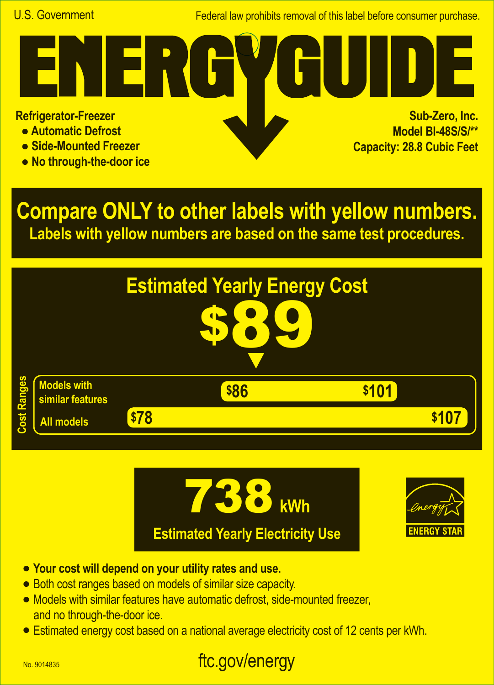Federal law prohibits removal of this label before consumer purchase.

**Refrigerator-Freezer**

- **Automatic Defrost**
- **Side-Mounted Freezer**
- **No through-the-door ice**

**Sub-Zero, Inc. Model BI-48S/S/\*\* Capacity: 28.8 Cubic Feet A**

**Compare ONLY to other labels with yellow numbers. Labels with yellow numbers are based on the same test procedures.**







- **• Your cost will depend on your utility rates and use.**
- **•** Both cost ranges based on models of similar size capacity.
- **•** Models with similar features have automatic defrost, side-mounted freezer, and no through-the-door ice.
- **•** Estimated energy cost based on a national average electricity cost of 12 cents per kWh.

## ftc.gov/energy